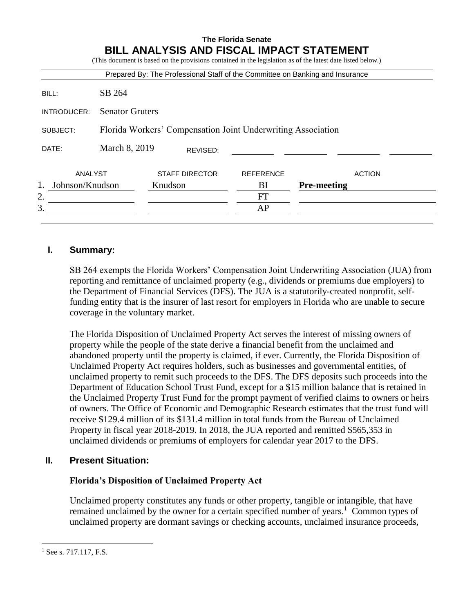|                       |                                                              |                       |          |                  | (This document is based on the provisions contained in the legislation as of the latest date listed below.)<br>Prepared By: The Professional Staff of the Committee on Banking and Insurance |               |  |  |
|-----------------------|--------------------------------------------------------------|-----------------------|----------|------------------|----------------------------------------------------------------------------------------------------------------------------------------------------------------------------------------------|---------------|--|--|
| BILL:                 | SB 264                                                       |                       |          |                  |                                                                                                                                                                                              |               |  |  |
| INTRODUCER:           | <b>Senator Gruters</b>                                       |                       |          |                  |                                                                                                                                                                                              |               |  |  |
| SUBJECT:              | Florida Workers' Compensation Joint Underwriting Association |                       |          |                  |                                                                                                                                                                                              |               |  |  |
| DATE:                 | March 8, 2019                                                |                       | REVISED: |                  |                                                                                                                                                                                              |               |  |  |
| ANALYST               |                                                              | <b>STAFF DIRECTOR</b> |          | <b>REFERENCE</b> |                                                                                                                                                                                              | <b>ACTION</b> |  |  |
| Johnson/Knudson<br>1. |                                                              | Knudson               |          | BI               | <b>Pre-meeting</b>                                                                                                                                                                           |               |  |  |
| 2.                    |                                                              |                       |          | <b>FT</b>        |                                                                                                                                                                                              |               |  |  |
| 3.                    |                                                              |                       |          | AP               |                                                                                                                                                                                              |               |  |  |

# **I. Summary:**

SB 264 exempts the Florida Workers' Compensation Joint Underwriting Association (JUA) from reporting and remittance of unclaimed property (e.g., dividends or premiums due employers) to the Department of Financial Services (DFS). The JUA is a statutorily-created nonprofit, selffunding entity that is the insurer of last resort for employers in Florida who are unable to secure coverage in the voluntary market.

The Florida Disposition of Unclaimed Property Act serves the interest of missing owners of property while the people of the state derive a financial benefit from the unclaimed and abandoned property until the property is claimed, if ever. Currently, the Florida Disposition of Unclaimed Property Act requires holders, such as businesses and governmental entities, of unclaimed property to remit such proceeds to the DFS. The DFS deposits such proceeds into the Department of Education School Trust Fund, except for a \$15 million balance that is retained in the Unclaimed Property Trust Fund for the prompt payment of verified claims to owners or heirs of owners. The Office of Economic and Demographic Research estimates that the trust fund will receive \$129.4 million of its \$131.4 million in total funds from the Bureau of Unclaimed Property in fiscal year 2018-2019. In 2018, the JUA reported and remitted \$565,353 in unclaimed dividends or premiums of employers for calendar year 2017 to the DFS.

# **II. Present Situation:**

# **Florida's Disposition of Unclaimed Property Act**

Unclaimed property constitutes any funds or other property, tangible or intangible, that have remained unclaimed by the owner for a certain specified number of years.<sup>1</sup> Common types of unclaimed property are dormant savings or checking accounts, unclaimed insurance proceeds,

 $<sup>1</sup>$  See s. 717.117, F.S.</sup>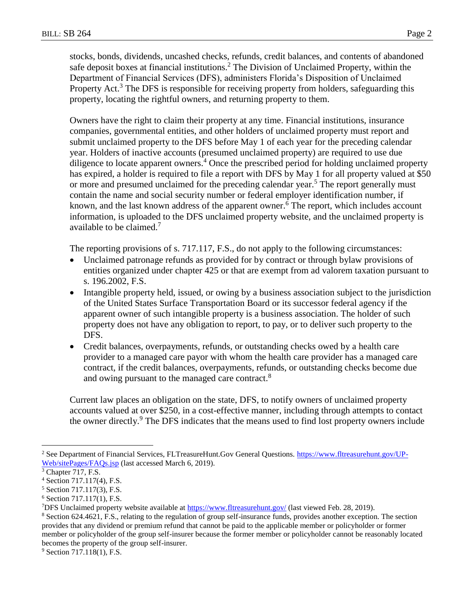stocks, bonds, dividends, uncashed checks, refunds, credit balances, and contents of abandoned safe deposit boxes at financial institutions.<sup>2</sup> The Division of Unclaimed Property, within the Department of Financial Services (DFS), administers Florida's Disposition of Unclaimed Property Act.<sup>3</sup> The DFS is responsible for receiving property from holders, safeguarding this property, locating the rightful owners, and returning property to them.

Owners have the right to claim their property at any time. Financial institutions, insurance companies, governmental entities, and other holders of unclaimed property must report and submit unclaimed property to the DFS before May 1 of each year for the preceding calendar year. Holders of inactive accounts (presumed unclaimed property) are required to use due diligence to locate apparent owners.<sup>4</sup> Once the prescribed period for holding unclaimed property has expired, a holder is required to file a report with DFS by May 1 for all property valued at \$50 or more and presumed unclaimed for the preceding calendar year.<sup>5</sup> The report generally must contain the name and social security number or federal employer identification number, if known, and the last known address of the apparent owner.<sup>6</sup> The report, which includes account information, is uploaded to the DFS unclaimed property website, and the unclaimed property is available to be claimed.<sup>7</sup>

The reporting provisions of s. 717.117, F.S., do not apply to the following circumstances:

- Unclaimed patronage refunds as provided for by contract or through bylaw provisions of entities organized under chapter 425 or that are exempt from ad valorem taxation pursuant to s. 196.2002, F.S.
- Intangible property held, issued, or owing by a business association subject to the jurisdiction of the United States Surface Transportation Board or its successor federal agency if the apparent owner of such intangible property is a business association. The holder of such property does not have any obligation to report, to pay, or to deliver such property to the DFS.
- Credit balances, overpayments, refunds, or outstanding checks owed by a health care provider to a managed care payor with whom the health care provider has a managed care contract, if the credit balances, overpayments, refunds, or outstanding checks become due and owing pursuant to the managed care contract.<sup>8</sup>

Current law places an obligation on the state, DFS, to notify owners of unclaimed property accounts valued at over \$250, in a cost-effective manner, including through attempts to contact the owner directly.<sup>9</sup> The DFS indicates that the means used to find lost property owners include

<sup>&</sup>lt;sup>2</sup> See Department of Financial Services, FLTreasureHunt.Gov General Questions. [https://www.fltreasurehunt.gov/UP-](https://www.fltreasurehunt.gov/UP-Web/sitePages/FAQs.jsp)[Web/sitePages/FAQs.jsp](https://www.fltreasurehunt.gov/UP-Web/sitePages/FAQs.jsp) (last accessed March 6, 2019).

 $3$  Chapter 717, F.S.

<sup>4</sup> Section 717.117(4), F.S.

<sup>5</sup> Section 717.117(3), F.S.

<sup>6</sup> Section 717.117(1), F.S.

<sup>&</sup>lt;sup>7</sup>DFS Unclaimed property website available at<https://www.fltreasurehunt.gov/> (last viewed Feb. 28, 2019).

<sup>8</sup> Section 624.4621, F.S., relating to the regulation of group self-insurance funds, provides another exception. The section provides that any dividend or premium refund that cannot be paid to the applicable member or policyholder or former member or policyholder of the group self-insurer because the former member or policyholder cannot be reasonably located becomes the property of the group self-insurer.

<sup>&</sup>lt;sup>9</sup> Section 717.118(1), F.S.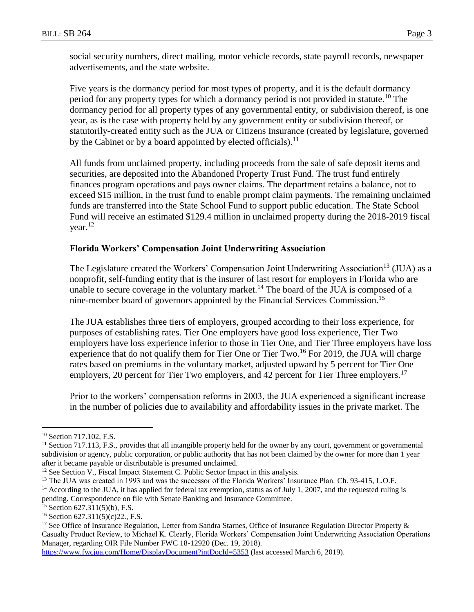social security numbers, direct mailing, motor vehicle records, state payroll records, newspaper advertisements, and the state website.

Five years is the dormancy period for most types of property, and it is the default dormancy period for any property types for which a dormancy period is not provided in statute.<sup>10</sup> The dormancy period for all property types of any governmental entity, or subdivision thereof, is one year, as is the case with property held by any government entity or subdivision thereof, or statutorily-created entity such as the JUA or Citizens Insurance (created by legislature, governed by the Cabinet or by a board appointed by elected officials).<sup>11</sup>

All funds from unclaimed property, including proceeds from the sale of safe deposit items and securities, are deposited into the Abandoned Property Trust Fund. The trust fund entirely finances program operations and pays owner claims. The department retains a balance, not to exceed \$15 million, in the trust fund to enable prompt claim payments. The remaining unclaimed funds are transferred into the State School Fund to support public education. The State School Fund will receive an estimated \$129.4 million in unclaimed property during the 2018-2019 fiscal year. $^{12}$ 

## **Florida Workers' Compensation Joint Underwriting Association**

The Legislature created the Workers' Compensation Joint Underwriting Association<sup>13</sup> (JUA) as a nonprofit, self-funding entity that is the insurer of last resort for employers in Florida who are unable to secure coverage in the voluntary market.<sup>14</sup> The board of the JUA is composed of a nine-member board of governors appointed by the Financial Services Commission. 15

The JUA establishes three tiers of employers, grouped according to their loss experience, for purposes of establishing rates. Tier One employers have good loss experience, Tier Two employers have loss experience inferior to those in Tier One, and Tier Three employers have loss experience that do not qualify them for Tier One or Tier Two.<sup>16</sup> For 2019, the JUA will charge rates based on premiums in the voluntary market, adjusted upward by 5 percent for Tier One employers, 20 percent for Tier Two employers, and 42 percent for Tier Three employers.<sup>17</sup>

Prior to the workers' compensation reforms in 2003, the JUA experienced a significant increase in the number of policies due to availability and affordability issues in the private market. The

 $\overline{a}$ 

<https://www.fwcjua.com/Home/DisplayDocument?intDocId=5353> (last accessed March 6, 2019).

<sup>&</sup>lt;sup>10</sup> Section 717.102, F.S.

<sup>&</sup>lt;sup>11</sup> Section 717.113, F.S., provides that all intangible property held for the owner by any court, government or governmental subdivision or agency, public corporation, or public authority that has not been claimed by the owner for more than 1 year after it became payable or distributable is presumed unclaimed.

<sup>&</sup>lt;sup>12</sup> See Section V., Fiscal Impact Statement C. Public Sector Impact in this analysis.

<sup>&</sup>lt;sup>13</sup> The JUA was created in 1993 and was the successor of the Florida Workers' Insurance Plan. Ch. 93-415, L.O.F.

<sup>&</sup>lt;sup>14</sup> According to the JUA, it has applied for federal tax exemption, status as of July 1, 2007, and the requested ruling is pending. Correspondence on file with Senate Banking and Insurance Committee.

 $15$  Section 627.311(5)(b), F.S.

 $16$  Section 627.311(5)(c)22., F.S.

<sup>&</sup>lt;sup>17</sup> See Office of Insurance Regulation, Letter from Sandra Starnes, Office of Insurance Regulation Director Property  $\&$ Casualty Product Review, to Michael K. Clearly, Florida Workers' Compensation Joint Underwriting Association Operations Manager, regarding OIR File Number FWC 18-12920 (Dec. 19, 2018).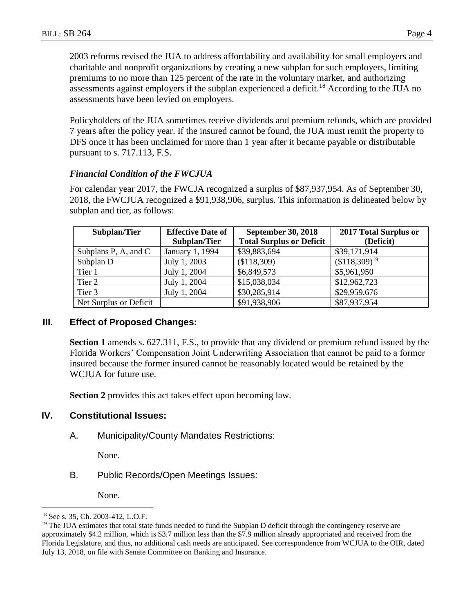2003 reforms revised the JUA to address affordability and availability for small employers and charitable and nonprofit organizations by creating a new subplan for such employers, limiting premiums to no more than 125 percent of the rate in the voluntary market, and authorizing assessments against employers if the subplan experienced a deficit.<sup>18</sup> According to the JUA no assessments have been levied on employers.

Policyholders of the JUA sometimes receive dividends and premium refunds, which are provided 7 years after the policy year. If the insured cannot be found, the JUA must remit the property to DFS once it has been unclaimed for more than 1 year after it became payable or distributable pursuant to s. 717.113, F.S.

## *Financial Condition of the FWCJUA*

For calendar year 2017, the FWCJA recognized a surplus of \$87,937,954. As of September 30, 2018, the FWCJUA recognized a \$91,938,906, surplus. This information is delineated below by subplan and tier, as follows:

| Subplan/Tier           | <b>Effective Date of</b><br>Subplan/Tier | <b>September 30, 2018</b><br><b>Total Surplus or Deficit</b> | 2017 Total Surplus or<br>(Deficit) |
|------------------------|------------------------------------------|--------------------------------------------------------------|------------------------------------|
| Subplans P, A, and C   | January 1, 1994                          | \$39,883,694                                                 | \$39,171,914                       |
| Subplan D              | July 1, 2003                             | (\$118,309)                                                  | $($118,309)^{19}$                  |
| Tier 1                 | July 1, 2004                             | \$6,849,573                                                  | \$5,961,950                        |
| Tier 2                 | July 1, 2004                             | \$15,038,034                                                 | \$12,962,723                       |
| Tier 3                 | July 1, 2004                             | \$30,285,914                                                 | \$29,959,676                       |
| Net Surplus or Deficit |                                          | \$91,938,906                                                 | \$87,937,954                       |

### **III. Effect of Proposed Changes:**

**Section 1** amends s. 627.311, F.S., to provide that any dividend or premium refund issued by the Florida Workers' Compensation Joint Underwriting Association that cannot be paid to a former insured because the former insured cannot be reasonably located would be retained by the WCJUA for future use.

**Section 2** provides this act takes effect upon becoming law.

### **IV. Constitutional Issues:**

A. Municipality/County Mandates Restrictions:

None.

B. Public Records/Open Meetings Issues:

None.

<sup>18</sup> See s. 35, Ch. 2003-412, L.O.F.

<sup>&</sup>lt;sup>19</sup> The JUA estimates that total state funds needed to fund the Subplan D deficit through the contingency reserve are approximately \$4.2 million, which is \$3.7 million less than the \$7.9 million already appropriated and received from the Florida Legislature, and thus, no additional cash needs are anticipated. See correspondence from WCJUA to the OIR, dated July 13, 2018, on file with Senate Committee on Banking and Insurance.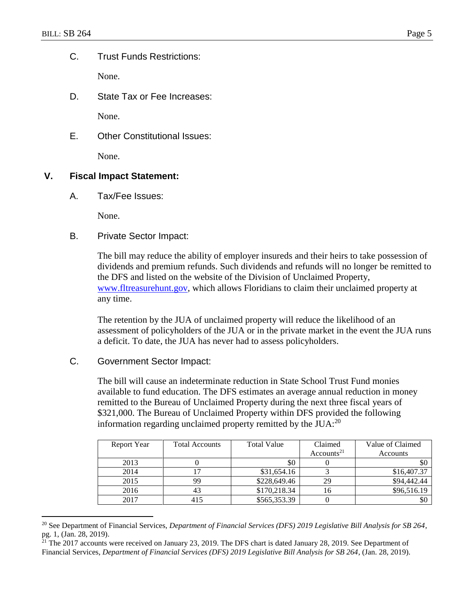$\overline{a}$ 

C. Trust Funds Restrictions:

None.

D. State Tax or Fee Increases:

None.

E. Other Constitutional Issues:

None.

## **V. Fiscal Impact Statement:**

A. Tax/Fee Issues:

None.

B. Private Sector Impact:

The bill may reduce the ability of employer insureds and their heirs to take possession of dividends and premium refunds. Such dividends and refunds will no longer be remitted to the DFS and listed on the website of the Division of Unclaimed Property, [www.fltreasurehunt.gov,](http://www.fltreasurehunt.gov/) which allows Floridians to claim their unclaimed property at any time.

The retention by the JUA of unclaimed property will reduce the likelihood of an assessment of policyholders of the JUA or in the private market in the event the JUA runs a deficit. To date, the JUA has never had to assess policyholders.

# C. Government Sector Impact:

The bill will cause an indeterminate reduction in State School Trust Fund monies available to fund education. The DFS estimates an average annual reduction in money remitted to the Bureau of Unclaimed Property during the next three fiscal years of \$321,000. The Bureau of Unclaimed Property within DFS provided the following information regarding unclaimed property remitted by the  $JUA$ :<sup>20</sup>

| Report Year | <b>Total Accounts</b> | <b>Total Value</b> | Claimed                | Value of Claimed |
|-------------|-----------------------|--------------------|------------------------|------------------|
|             |                       |                    | Accounts <sup>21</sup> | Accounts         |
| 2013        |                       | \$0                |                        | \$0              |
| 2014        |                       | \$31,654.16        |                        | \$16,407.37      |
| 2015        | 99                    | \$228,649.46       | 29                     | \$94,442.44      |
| 2016        | 43                    | \$170,218.34       | 16                     | \$96,516.19      |
| 2017        | 415                   | \$565,353.39       |                        | \$0              |

<sup>20</sup> See Department of Financial Services, *Department of Financial Services (DFS) 2019 Legislative Bill Analysis for SB 264*, pg. 1, (Jan. 28, 2019).

<sup>&</sup>lt;sup>21</sup> The 2017 accounts were received on January 23, 2019. The DFS chart is dated January 28, 2019. See Department of Financial Services, *Department of Financial Services (DFS) 2019 Legislative Bill Analysis for SB 264*, (Jan. 28, 2019).